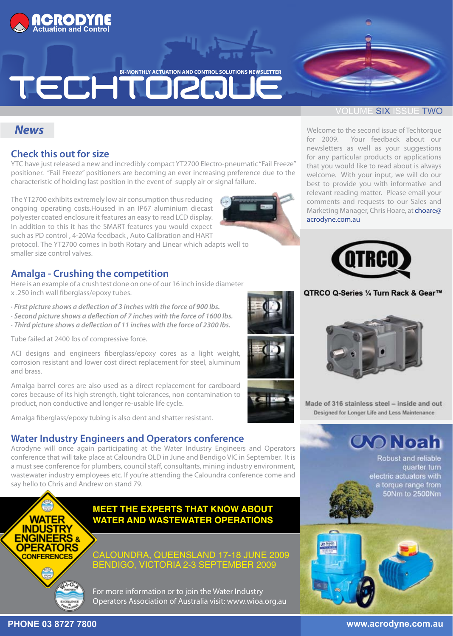

**BI-MONTHLY ACTUATION AND CONTROL SOLUTIONS NEWSLETTER** 

# TECHTORD

# *News*

# **Check this out for size**

YTC have just released a new and incredibly compact YT2700 Electro-pneumatic "Fail Freeze" positioner. "Fail Freeze" positioners are becoming an ever increasing preference due to the characteristic of holding last position in the event of supply air or signal failure.

The YT2700 exhibits extremely low air consumption thus reducing ongoing operating costs.Housed in an IP67 aluminium diecast polyester coated enclosure it features an easy to read LCD display. In addition to this it has the SMART features you would expect such as PD control , 4-20Ma feedback , Auto Calibration and HART

protocol. The YT2700 comes in both Rotary and Linear which adapts well to smaller size control valves.

# **Amalga - Crushing the competition**

Here is an example of a crush test done on one of our 16 inch inside diameter x .250 inch wall fiberglass/epoxy tubes.

- *· First picture shows a deflection of 3 inches with the force of 900 lbs.*
- *· Second picture shows a deflection of 7 inches with the force of 1600 lbs.*
- *· Third picture shows a deflection of 11 inches with the force of 2300 lbs.*

Tube failed at 2400 lbs of compressive force.

ACI designs and engineers fiberglass/epoxy cores as a light weight, corrosion resistant and lower cost direct replacement for steel, aluminum and brass.

Amalga barrel cores are also used as a direct replacement for cardboard cores because of its high strength, tight tolerances, non contamination to product, non conductive and longer re-usable life cycle.

Amalga fiberglass/epoxy tubing is also dent and shatter resistant.

# **Water Industry Engineers and Operators conference**

Acrodyne will once again participating at the Water Industry Engineers and Operators conference that will take place at Caloundra QLD in June and Bendigo VIC in September. It is a must see conference for plumbers, council staff, consultants, mining industry environment, wastewater industry employees etc. If you're attending the Caloundra conference come and say hello to Chris and Andrew on stand 79.



# **MEET THE EXPERTS THAT KNOW ABOUT WATER AND WASTEWATER OPERATIONS**

CALOUNDRA, QUEENSLAND 17-18 JUNE 2009 BENDIGO, VICTORIA 2-3 SEPTEMBER 2009

For more information or to join the Water Industry Operators Association of Australia visit: www.wioa.org.au

### OLUME SIX ISSUE TWO

Welcome to the second issue of Techtorque for 2009. Your feedback about our newsletters as well as your suggestions for any particular products or applications that you would like to read about is always welcome. With your input, we will do our best to provide you with informative and relevant reading matter. Please email your comments and requests to our Sales and Marketing Manager, Chris Hoare, at choare@ acrodyne.com.au



#### QTRCO Q-Series 1/4 Turn Rack & Gear™



Made of 316 stainless steel - inside and out Designed for Longer Life and Less Maintenance

**OO Noah** 

Robust and reliable quarter turn electric actuators with a torque range from 50Nm to 2500Nm

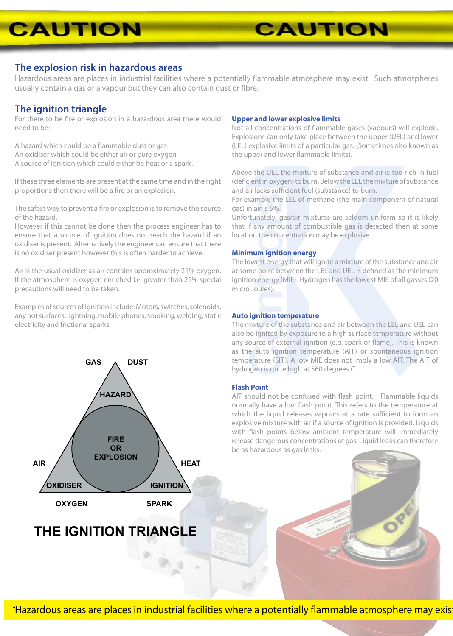# **CAUTION**

### **The explosion risk in hazardous areas**

Hazardous areas are places in industrial facilities where a potentially flammable atmosphere may exist. Such atmospheres usually contain a gas or a vapour but they can also contain dust or fibre.

## **The ignition triangle**

For there to be fire or explosion in a hazardous area there would need to be:

A hazard which could be a flammable dust or gas An oxidiser which could be either air or pure oxygen A source of ignition which could either be heat or a spark.

If these three elements are present at the same time and in the right proportions then there will be a fire or an explosion.

The safest way to prevent a fire or explosion is to remove the source of the hazard.

However if this cannot be done then the process engineer has to ensure that a source of ignition does not reach the hazard if an oxidiser is present. Alternatively the engineer can ensure that there is no oxidiser present however this is often harder to achieve.

Air is the usual oxidizer as air contains approximately 21% oxygen. If the atmosphere is oxygen enriched i.e. greater than 21% special precautions will need to be taken.

Examples of sources of ignition include: Motors, switches, solenoids, any hot surfaces, lightning, mobile phones, smoking, welding, static electricity and frictional sparks.



# **THE IGNITION TRIANGLE**

#### **Upper and lower explosive limits**

Not all concentrations of flammable gases (vapours) will explode. Explosions can only take place between the upper (UEL) and lower (LEL) explosive limits of a particular gas. (Sometimes also known as the upper and lower flammable limits).

**CAUTION** 

Above the UEL the mixture of substance and air is too rich in fuel (deficient in oxygen) to burn. Below the LEL the mixture of substance and air lacks sufficient fuel (substance) to burn.

For example the LEL of methane (the main component of natural gas) in air is 5%.

Unfortunately, gas/air mixtures are seldom uniform so it is likely that if any amount of combustible gas is detected then at some location the concentration may be explosive.

#### **Minimum ignition energy**

The lowest energy that will ignite a mixture of the substance and air at some point between the LEL and UEL is defined as the minimum ignition energy (MIE). Hydrogen has the lowest MIE of all gasses (20 micro Joules).

#### **Auto ignition temperature**

The mixture of the substance and air between the LEL and UEL can also be ignited by exposure to a high surface temperature without any source of external ignition (e.g. spark or flame). This is known as the auto ignition temperature (AIT) or spontaneous ignition temperature (SIT). A low MIE does not imply a low AIT. The AIT of hydrogen is quite high at 560 degrees C.

#### **Flash Point**

AIT should not be confused with flash point. Flammable liquids normally have a low flash point. This refers to the temperature at which the liquid releases vapours at a rate sufficient to form an explosive mixture with air if a source of ignition is provided. Liquids with flash points below ambient temperature will immediately release dangerous concentrations of gas. Liquid leaks can therefore be as hazardous as gas leaks.

*"*Hazardous areas are places in industrial facilities where a potentially flammable atmosphere may exist*"*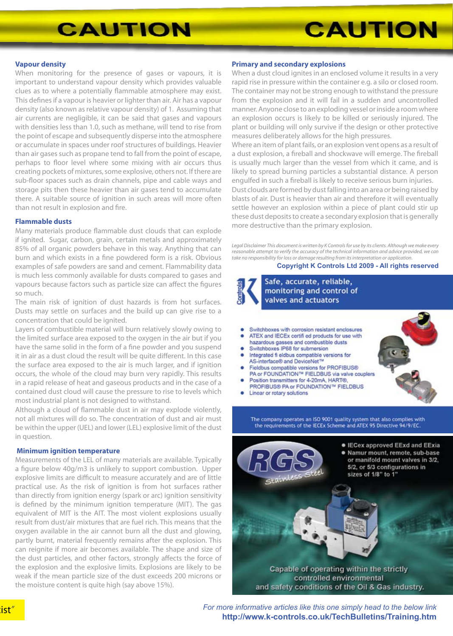# **CAUTION**

# **CAUTION**

#### **Vapour density**

When monitoring for the presence of gases or vapours, it is important to understand vapour density which provides valuable clues as to where a potentially flammable atmosphere may exist. This defines if a vapour is heavier or lighter than air. Air has a vapour density (also known as relative vapour density) of 1. Assuming that air currents are negligible, it can be said that gases and vapours with densities less than 1.0, such as methane, will tend to rise from the point of escape and subsequently disperse into the atmosphere or accumulate in spaces under roof structures of buildings. Heavier than air gases such as propane tend to fall from the point of escape, perhaps to floor level where some mixing with air occurs thus creating pockets of mixtures, some explosive, others not. If there are sub-floor spaces such as drain channels, pipe and cable ways and storage pits then these heavier than air gases tend to accumulate there. A suitable source of ignition in such areas will more often than not result in explosion and fire.

#### **Flammable dusts**

Many materials produce flammable dust clouds that can explode if ignited. Sugar, carbon, grain, certain metals and approximately 85% of all organic powders behave in this way. Anything that can burn and which exists in a fine powdered form is a risk. Obvious examples of safe powders are sand and cement. Flammability data is much less commonly available for dusts compared to gases and vapours because factors such as particle size can affect the figures so much.

The main risk of ignition of dust hazards is from hot surfaces. Dusts may settle on surfaces and the build up can give rise to a concentration that could be ignited.

Layers of combustible material will burn relatively slowly owing to the limited surface area exposed to the oxygen in the air but if you have the same solid in the form of a fine powder and you suspend it in air as a dust cloud the result will be quite different. In this case the surface area exposed to the air is much larger, and if ignition occurs, the whole of the cloud may burn very rapidly. This results in a rapid release of heat and gaseous products and in the case of a contained dust cloud will cause the pressure to rise to levels which most industrial plant is not designed to withstand.

Although a cloud of flammable dust in air may explode violently, not all mixtures will do so. The concentration of dust and air must be within the upper (UEL) and lower (LEL) explosive limit of the dust in question.

#### **Minimum ignition temperature**

Measurements of the LEL of many materials are available. Typically a figure below 40g/m3 is unlikely to support combustion. Upper explosive limits are difficult to measure accurately and are of little practical use. As the risk of ignition is from hot surfaces rather than directly from ignition energy (spark or arc) ignition sensitivity is defined by the minimum ignition temperature (MIT). The gas equivalent of MIT is the AIT. The most violent explosions usually result from dust/air mixtures that are fuel rich. This means that the oxygen available in the air cannot burn all the dust and glowing, partly burnt, material frequently remains after the explosion. This can reignite if more air becomes available. The shape and size of the dust particles, and other factors, strongly affects the force of the explosion and the explosive limits. Explosions are likely to be weak if the mean particle size of the dust exceeds 200 microns or the moisture content is quite high (say above 15%).

#### **Primary and secondary explosions**

When a dust cloud ignites in an enclosed volume it results in a very rapid rise in pressure within the container e.g. a silo or closed room. The container may not be strong enough to withstand the pressure from the explosion and it will fail in a sudden and uncontrolled manner. Anyone close to an exploding vessel or inside a room where an explosion occurs is likely to be killed or seriously injured. The plant or building will only survive if the design or other protective measures deliberately allows for the high pressures.

Where an item of plant fails, or an explosion vent opens as a result of a dust explosion, a fireball and shockwave will emerge. The fireball is usually much larger than the vessel from which it came, and is likely to spread burning particles a substantial distance. A person engulfed in such a fireball is likely to receive serious burn injuries. Dust clouds are formed by dust falling into an area or being raised by blasts of air. Dust is heavier than air and therefore it will eventually

settle however an explosion within a piece of plant could stir up these dust deposits to create a secondary explosion that is generally more destructive than the primary explosion.

*Legal Disclaimer This document is written by K Controls for use by its clients. Although we make every reasonable attempt to verify the accuracy of the technical information and advice provided, we can take no responsibility for loss or damage resulting from its interpretation or application.*

#### **Copyright K Controls Ltd 2009 - All rights reserved**

Safe, accurate, reliable, monitoring and control of valves and actuators

#### Switchboxes with corrosion resistant enclosures ATEX and IECEx certifi ed products for use with hazardous gasses and combustible dusts

- Switchboxes IP68 for submersion
- Integrated fi eldbus compatible versions for AS-interface® and DeviceNet™
- Fieldbus compatible versions for PROFIBUS®
- PA or FOUNDATION™ FIELDBUS via valve couplers Position transmitters for 4-20mA. HART®
- PROFIBUS® PA or FOUNDATION™ FIELDBUS
- Linear or rotary solutions

The company operates an ISO 9001 quality system that also complies with the requirements of the IECEx Scheme and ATEX 95 Directive 94/9/EC.



*For more informative articles like this one simply head to the below link* **http://www.k-controls.co.uk/TechBulletins/Training.htm**